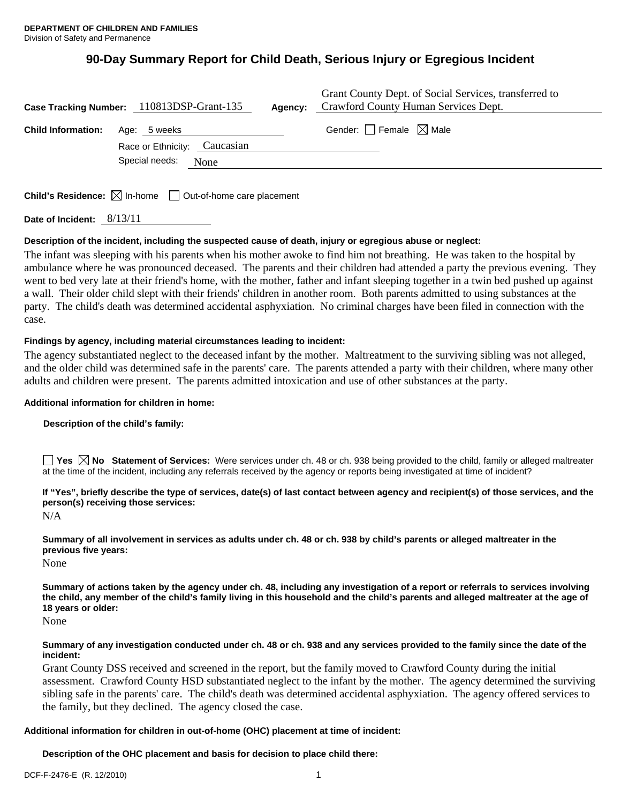# **90-Day Summary Report for Child Death, Serious Injury or Egregious Incident**

|                           | Case Tracking Number: 110813DSP-Grant-135 | Grant County Dept. of Social Services, transferred to<br>Agency: Crawford County Human Services Dept. |
|---------------------------|-------------------------------------------|-------------------------------------------------------------------------------------------------------|
| <b>Child Information:</b> | Age: 5 weeks                              | Gender: Female $\boxtimes$ Male                                                                       |
|                           | Race or Ethnicity: Caucasian              |                                                                                                       |
|                           | Special needs:<br>None                    |                                                                                                       |
|                           |                                           |                                                                                                       |

**Child's Residence:**  $\boxtimes$  In-home  $\Box$  Out-of-home care placement

**Date of Incident:** 8/13/11

# **Description of the incident, including the suspected cause of death, injury or egregious abuse or neglect:**

The infant was sleeping with his parents when his mother awoke to find him not breathing. He was taken to the hospital by ambulance where he was pronounced deceased. The parents and their children had attended a party the previous evening. They went to bed very late at their friend's home, with the mother, father and infant sleeping together in a twin bed pushed up against a wall. Their older child slept with their friends' children in another room. Both parents admitted to using substances at the party. The child's death was determined accidental asphyxiation. No criminal charges have been filed in connection with the case.

## **Findings by agency, including material circumstances leading to incident:**

The agency substantiated neglect to the deceased infant by the mother. Maltreatment to the surviving sibling was not alleged, and the older child was determined safe in the parents' care. The parents attended a party with their children, where many other adults and children were present. The parents admitted intoxication and use of other substances at the party.

#### **Additional information for children in home:**

#### **Description of the child's family:**

**Yes**  $\boxtimes$  **No** Statement of Services: Were services under ch. 48 or ch. 938 being provided to the child, family or alleged maltreater at the time of the incident, including any referrals received by the agency or reports being investigated at time of incident?

# **If "Yes", briefly describe the type of services, date(s) of last contact between agency and recipient(s) of those services, and the person(s) receiving those services:**

N/A

**Summary of all involvement in services as adults under ch. 48 or ch. 938 by child's parents or alleged maltreater in the previous five years:** 

None

**Summary of actions taken by the agency under ch. 48, including any investigation of a report or referrals to services involving the child, any member of the child's family living in this household and the child's parents and alleged maltreater at the age of 18 years or older:** 

None

#### **Summary of any investigation conducted under ch. 48 or ch. 938 and any services provided to the family since the date of the incident:**

Grant County DSS received and screened in the report, but the family moved to Crawford County during the initial assessment. Crawford County HSD substantiated neglect to the infant by the mother. The agency determined the surviving sibling safe in the parents' care. The child's death was determined accidental asphyxiation. The agency offered services to the family, but they declined. The agency closed the case.

#### **Additional information for children in out-of-home (OHC) placement at time of incident:**

**Description of the OHC placement and basis for decision to place child there:**